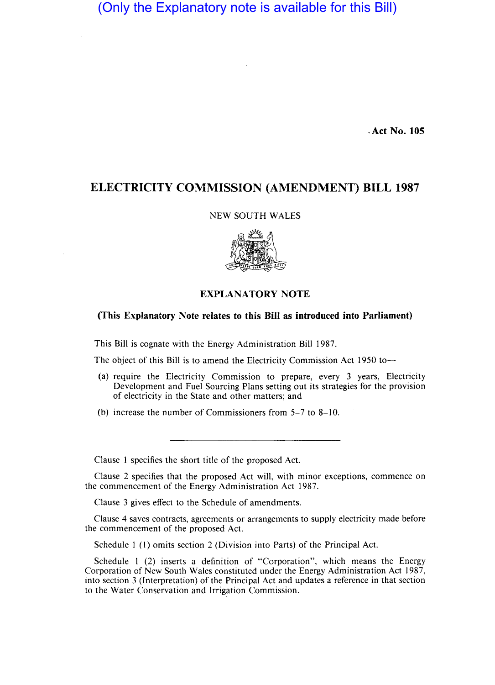(Only the Explanatory note is available for this Bill)

·.Act No. 105

## ELECTRICITY COMMISSION (AMENDMENT) BILL 1987

## NEW SOUTH WALES



## EXPLANATORY NOTE

## (This Explanatory Note relates to this Bill as introduced into Parliament)

This Bill is cognate with the Energy Administration Bill 1987.

The object of this Bill is to amend the Electricity Commission Act 1950 to-

- (a) require the Electricity Commission to prepare, every 3 years, Electricity Development and Fuel Sourcing Plans setting out its strategies for the provision of electricity in the State and other matters; and
- (b) increase the number of Commissioners from 5-7 to 8-10.

Clause 1 specifies the short title of the proposed Act.

Clause 2 specifies that the proposed Act will, with minor exceptions, commence on the commencement of the Energy Administration Act 1987.

Clause 3 gives effect to the Schedule of amendments.

Clause 4 saves contracts, agreements or arrangements to supply electricity made before the commencement of the proposed Act.

Schedule 1 (I) omits section 2 (Division into Parts) of the Principal Act.

Schedule 1 (2) inserts a definition of "Corporation", which means the Energy Corporation of New South Wales constituted under the Energy Administration Act 1987, into section 3 (Interpretation) of the Principal Act and updates a reference in that section to the Water Conservation and Irrigation Commission.